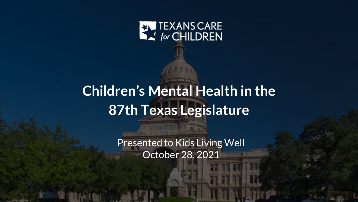

# **Children's Mental Health in the 87th Texas Legislature**

Presented to Kids Living Well October 28, 2021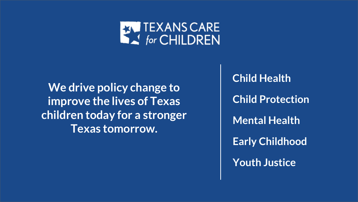

**We drive policy change to improve the lives of Texas children today for a stronger Texas tomorrow.**

**Child Health Child Protection Mental Health Early Childhood Youth Justice**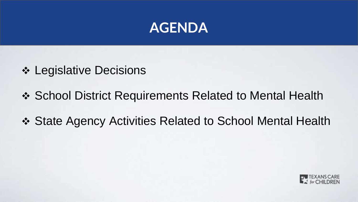

- **❖ Legislative Decisions**
- ❖ School District Requirements Related to Mental Health
- State Agency Activities Related to School Mental Health

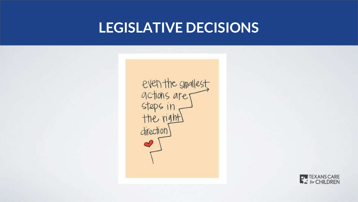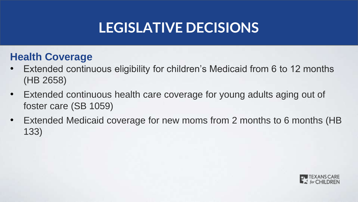#### **Health Coverage**

- Extended continuous eligibility for children's Medicaid from 6 to 12 months (HB 2658)
- Extended continuous health care coverage for young adults aging out of foster care (SB 1059)
- Extended Medicaid coverage for new moms from 2 months to 6 months (HB 133)

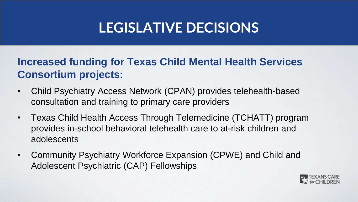#### **Increased funding for Texas Child Mental Health Services Consortium projects:**

- Child Psychiatry Access Network (CPAN) provides telehealth-based consultation and training to primary care providers
- Texas Child Health Access Through Telemedicine (TCHATT) program provides in-school behavioral telehealth care to at-risk children and adolescents
- Community Psychiatry Workforce Expansion (CPWE) and Child and Adolescent Psychiatric (CAP) Fellowships

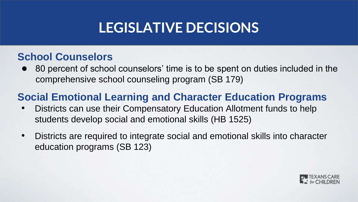#### **School Counselors**

80 percent of school counselors' time is to be spent on duties included in the comprehensive school counseling program (SB 179)

#### **Social Emotional Learning and Character Education Programs**

- Districts can use their Compensatory Education Allotment funds to help students develop social and emotional skills (HB 1525)
- Districts are required to integrate social and emotional skills into character education programs (SB 123)

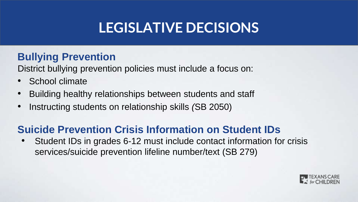#### **Bullying Prevention**

District bullying prevention policies must include a focus on:

- School climate
- Building healthy relationships between students and staff
- Instructing students on relationship skills *(*SB 2050)

#### **Suicide Prevention Crisis Information on Student IDs**

• Student IDs in grades 6-12 must include contact information for crisis services/suicide prevention lifeline number/text (SB 279)

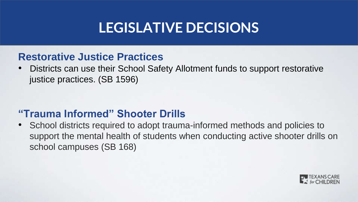#### **Restorative Justice Practices**

• Districts can use their School Safety Allotment funds to support restorative justice practices. (SB 1596)

#### **"Trauma Informed" Shooter Drills**

• School districts required to adopt trauma-informed methods and policies to support the mental health of students when conducting active shooter drills on school campuses (SB 168)

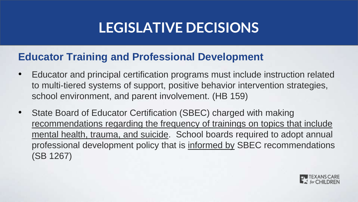#### **Educator Training and Professional Development**

- Educator and principal certification programs must include instruction related to multi-tiered systems of support, positive behavior intervention strategies, school environment, and parent involvement. (HB 159)
- State Board of Educator Certification (SBEC) charged with making recommendations regarding the frequency of trainings on topics that include mental health, trauma, and suicide. School boards required to adopt annual professional development policy that is informed by SBEC recommendations (SB 1267)

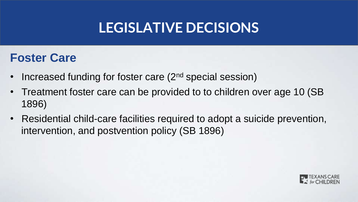#### **Foster Care**

- Increased funding for foster care (2<sup>nd</sup> special session)
- Treatment foster care can be provided to to children over age 10 (SB 1896)
- Residential child-care facilities required to adopt a suicide prevention, intervention, and postvention policy (SB 1896)

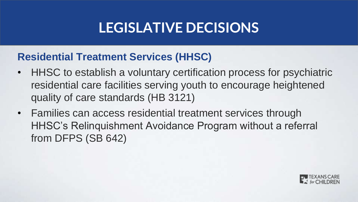#### **Residential Treatment Services (HHSC)**

- HHSC to establish a voluntary certification process for psychiatric residential care facilities serving youth to encourage heightened quality of care standards (HB 3121)
- Families can access residential treatment services through HHSC's Relinquishment Avoidance Program without a referral from DFPS (SB 642)

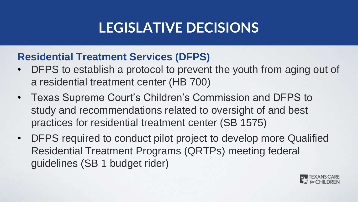#### **Residential Treatment Services (DFPS)**

- DFPS to establish a protocol to prevent the youth from aging out of a residential treatment center (HB 700)
- Texas Supreme Court's Children's Commission and DFPS to study and recommendations related to oversight of and best practices for residential treatment center (SB 1575)
- DFPS required to conduct pilot project to develop more Qualified Residential Treatment Programs (QRTPs) meeting federal guidelines (SB 1 budget rider)

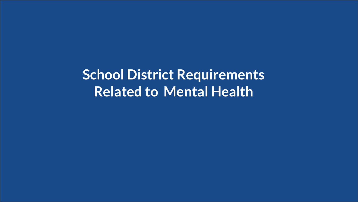**School District Requirements Related to Mental Health**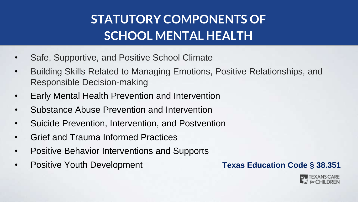### **STATUTORY COMPONENTS OF SCHOOL MENTAL HEALTH**

- Safe, Supportive, and Positive School Climate
- Building Skills Related to Managing Emotions, Positive Relationships, and Responsible Decision-making
- Early Mental Health Prevention and Intervention
- Substance Abuse Prevention and Intervention
- Suicide Prevention, Intervention, and Postvention
- Grief and Trauma Informed Practices
- Positive Behavior Interventions and Supports
- Positive Youth Development **Texas Education Code § 38.351**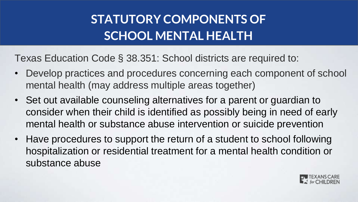### **STATUTORY COMPONENTS OF SCHOOL MENTAL HEALTH**

Texas Education Code § 38.351: School districts are required to:

- Develop practices and procedures concerning each component of school mental health (may address multiple areas together)
- Set out available counseling alternatives for a parent or guardian to consider when their child is identified as possibly being in need of early mental health or substance abuse intervention or suicide prevention
- Have procedures to support the return of a student to school following hospitalization or residential treatment for a mental health condition or substance abuse

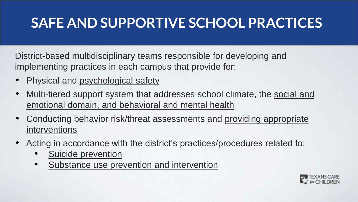### **SAFE AND SUPPORTIVE SCHOOL PRACTICES**

District-based multidisciplinary teams responsible for developing and implementing practices in each campus that provide for:

- Physical and psychological safety
- Multi-tiered support system that addresses school climate, the social and emotional domain, and behavioral and mental health
- Conducting behavior risk/threat assessments and providing appropriate interventions
- Acting in accordance with the district's practices/procedures related to:
	- Suicide prevention
	- Substance use prevention and intervention

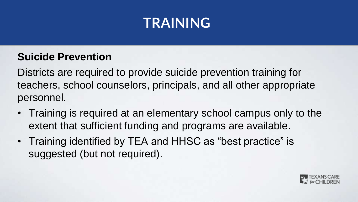### **TRAINING**

#### **Suicide Prevention**

Districts are required to provide suicide prevention training for teachers, school counselors, principals, and all other appropriate personnel.

- Training is required at an elementary school campus only to the extent that sufficient funding and programs are available.
- Training identified by TEA and HHSC as "best practice" is suggested (but not required).

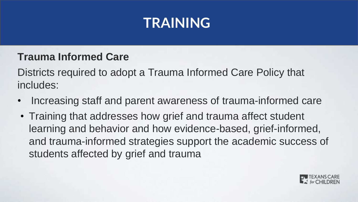## **TRAINING**

#### **Trauma Informed Care**

Districts required to adopt a Trauma Informed Care Policy that includes:

- Increasing staff and parent awareness of trauma-informed care
- Training that addresses how grief and trauma affect student learning and behavior and how evidence-based, grief-informed, and trauma-informed strategies support the academic success of students affected by grief and trauma

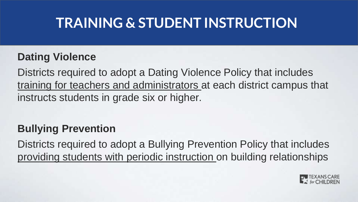### **TRAINING & STUDENT INSTRUCTION**

#### **Dating Violence**

Districts required to adopt a Dating Violence Policy that includes training for teachers and administrators at each district campus that instructs students in grade six or higher.

#### **Bullying Prevention**

Districts required to adopt a Bullying Prevention Policy that includes providing students with periodic instruction on building relationships

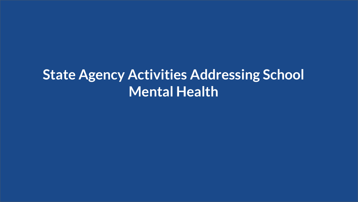## **State Agency Activities Addressing School Mental Health**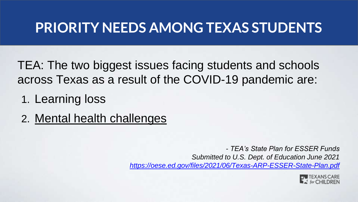### **PRIORITY NEEDS AMONG TEXAS STUDENTS**

TEA: The two biggest issues facing students and schools across Texas as a result of the COVID-19 pandemic are:

- 1. Learning loss
- 2. Mental health challenges

*- TEA's State Plan for ESSER Funds Submitted to U.S. Dept. of Education June 2021 <https://oese.ed.gov/files/2021/06/Texas-ARP-ESSER-State-Plan.pdf>*

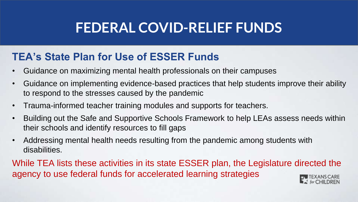### **FEDERAL COVID-RELIEF FUNDS**

#### **TEA's State Plan for Use of ESSER Funds**

- Guidance on maximizing mental health professionals on their campuses
- Guidance on implementing evidence-based practices that help students improve their ability to respond to the stresses caused by the pandemic
- Trauma-informed teacher training modules and supports for teachers.
- Building out the Safe and Supportive Schools Framework to help LEAs assess needs within their schools and identify resources to fill gaps
- Addressing mental health needs resulting from the pandemic among students with disabilities.

While TEA lists these activities in its state ESSER plan, the Legislature directed the agency to use federal funds for accelerated learning strategies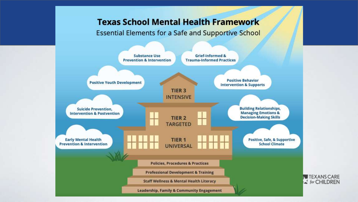#### **Texas School Mental Health Framework**

**Essential Elements for a Safe and Supportive School** 

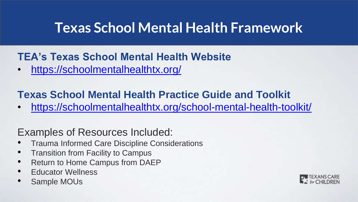### **Texas School Mental Health Framework**

#### **TEA's Texas School Mental Health Website**

• <https://schoolmentalhealthtx.org/>

#### **Texas School Mental Health Practice Guide and Toolkit**

• <https://schoolmentalhealthtx.org/school-mental-health-toolkit/>

#### Examples of Resources Included:

- Trauma Informed Care Discipline Considerations
- Transition from Facility to Campus
- Return to Home Campus from DAEP
- **Educator Wellness**
- Sample MOUs

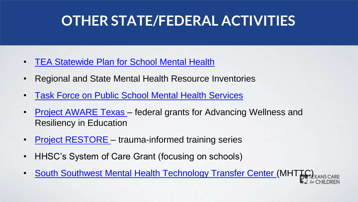### **OTHER STATE/FEDERAL ACTIVITIES**

- [TEA Statewide Plan for School Mental Health](https://tea.texas.gov/sites/default/files/sb11mhsp.pdf)
- Regional and State Mental Health Resource Inventories
- [Task Force on Public School Mental Health Services](https://schoolmentalhealthtx.org/hb-906-task-force/)
- [Project AWARE Texas](https://schoolmentalhealthtx.org/aware-texas/)  federal grants for Advancing Wellness and Resiliency in Education
- **Project RESTORE** trauma-informed training series
- HHSC's System of Care Grant (focusing on schools)
- **[South Southwest Mental Health Technology Transfer Center](https://mhttcnetwork.org/centers/south-southwest-mhttc/school-mental-health) (MHTT)**